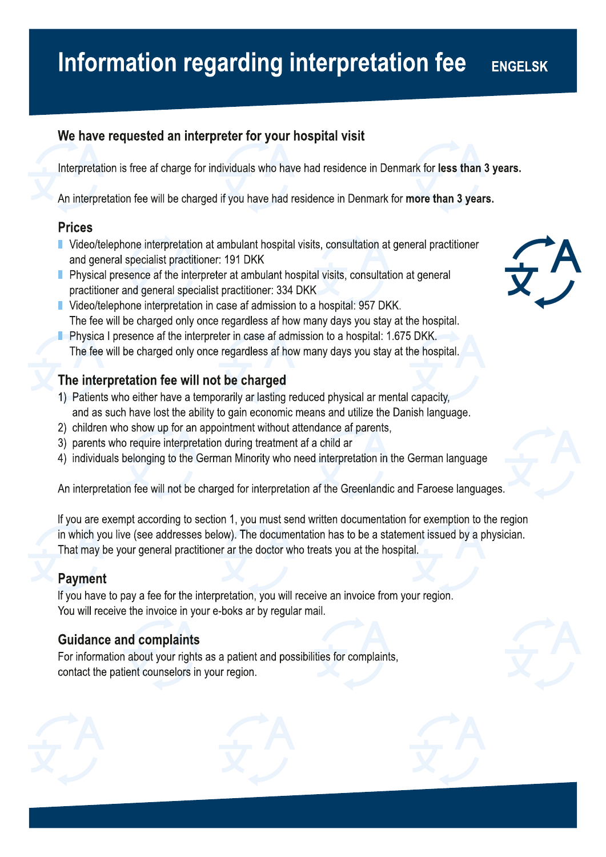#### Information regarding interpretation fee **ENGELSK**

## We have requested an interpreter for your hospital visit

Interpretation is free af charge for individuals who have had residence in Denmark for less than 3 years.

An interpretation fee will be charged if you have had residence in Denmark for more than 3 years.

### Prices

- **U** Video/telephone interpretation at ambulant hospital visits, consultation at general practitioner and general specialist pracitioner: 191 DKK
- $\blacksquare$  Physical presence af the interpreter at ambulant hospital visits, consultation at general practitioner and general specialist practitioner: 334 DKK
- **Video/telephone interpretation in case af admission to a hospital: 957 DKK.** The fee will be charged only once regardless af how many days you stay at the hospital.
- $\blacksquare$  Physica I presence af the interpreter in case af admission to a hospital: 1.675 DKK. The fee will be charged only once regardless af how many days you stay at the hospital.

## The interpretation fee will not be charged

- 1) Patients who either have a temporarily ar lasting reduced physical ar mental capacity, and as such have lost the ability to gain economic means and utilize the Danish language.
- 2) children who show up for an appointment without attendance af parents,
- 3) parents who require interpretation during treatment af a child ar
- 4) individuals belonging to the German Minorty who need interpretation in the German language

An interpretation fee will not be charged for interpetation af the Greenlandic and Farese languages.

If you are exempt according to section 1, you must send written documentation for exemption to the region in which you live (see addresses below). The documentation has to be a statement issued by a physician. That may be your general practitioner ar the doctor who treats you at the hospital.

## Payment

If you have to pay a fee for the interpretation, you will receive an invoice from your region. You will receive the invoice in your e-boks ar by regular mail.

## Guidance and complaints

For information about your rights as a patient and possibilities for complaints, contact the patient counselors in your region.